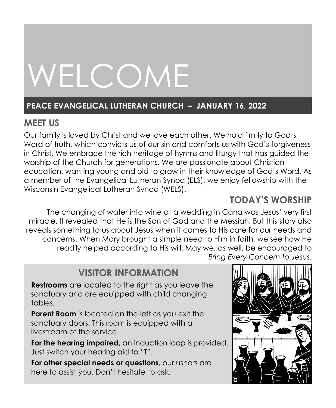# WELCOME

#### **PEACE EVANGELICAL LUTHERAN CHURCH – JANUARY 16, 2022**

### **MEET US**

Our family is loved by Christ and we love each other. We hold firmly to God's Word of truth, which convicts us of our sin and comforts us with God's forgiveness in Christ. We embrace the rich heritage of hymns and liturgy that has guided the worship of the Church for generations. We are passionate about Christian education, wanting young and old to grow in their knowledge of God's Word. As a member of the Evangelical Lutheran Synod (ELS), we enjoy fellowship with the Wisconsin Evangelical Lutheran Synod (WELS).

### **TODAY'S WORSHIP**

The changing of water into wine at a wedding in Cana was Jesus' very first miracle. It revealed that He is the Son of God and the Messiah. But this story also reveals something to us about Jesus when it comes to His care for our needs and concerns. When Mary brought a simple need to Him in faith, we see how He readily helped according to His will. May we, as well, be encouraged to *Bring Every Concern to Jesus.*

### **VISITOR INFORMATION**

**Restrooms** are located to the right as you leave the sanctuary and are equipped with child changing tables.

**Parent Room** is located on the left as you exit the sanctuary doors. This room is equipped with a livestream of the service.

**For the hearing impaired,** an induction loop is provided. Just switch your hearing aid to "T".

**For other special needs or questions**, our ushers are here to assist you. Don't hesitate to ask.

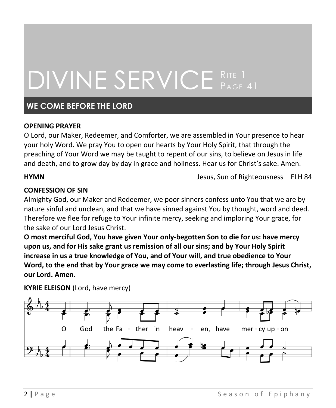### DIVINE SERVICE RITE 1 **PAGE 41**

#### **WE COME BEFORE THE LORD**

#### **OPENING PRAYER**

O Lord, our Maker, Redeemer, and Comforter, we are assembled in Your presence to hear your holy Word. We pray You to open our hearts by Your Holy Spirit, that through the preaching of Your Word we may be taught to repent of our sins, to believe on Jesus in life and death, and to grow day by day in grace and holiness. Hear us for Christ's sake. Amen.

**HYMN HYMN Jesus, Sun of Righteousness** │ ELH 84

#### **CONFESSION OF SIN**

Almighty God, our Maker and Redeemer, we poor sinners confess unto You that we are by nature sinful and unclean, and that we have sinned against You by thought, word and deed. Therefore we flee for refuge to Your infinite mercy, seeking and imploring Your grace, for the sake of our Lord Jesus Christ.

**O most merciful God, You have given Your only-begotten Son to die for us: have mercy upon us, and for His sake grant us remission of all our sins; and by Your Holy Spirit increase in us a true knowledge of You, and of Your will, and true obedience to Your Word, to the end that by Your grace we may come to everlasting life; through Jesus Christ, our Lord. Amen.**

**KYRIE ELEISON** (Lord, have mercy)

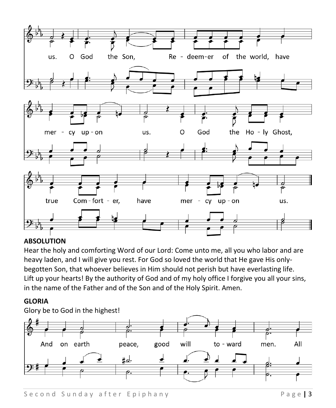

#### **ABSOLUTION**

Hear the holy and comforting Word of our Lord: Come unto me, all you who labor and are heavy laden, and I will give you rest. For God so loved the world that He gave His onlybegotten Son, that whoever believes in Him should not perish but have everlasting life. Lift up your hearts! By the authority of God and of my holy office I forgive you all your sins, in the name of the Father and of the Son and of the Holy Spirit. Amen.

#### **GLORIA**

Glory be to God in the highest!

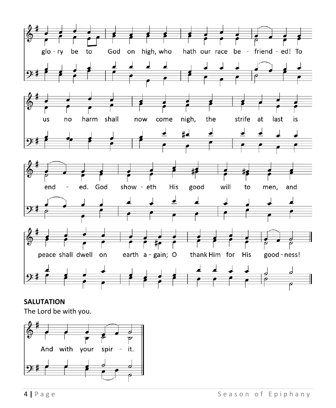

**SALUTATION**

The Lord be with you.

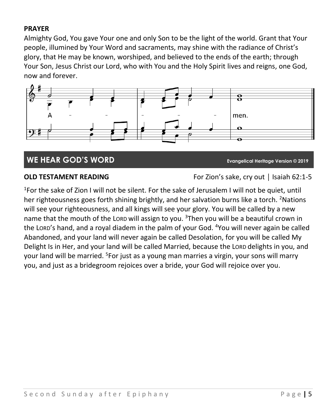#### **PRAYER**

Almighty God, You gave Your one and only Son to be the light of the world. Grant that Your people, illumined by Your Word and sacraments, may shine with the radiance of Christ's glory, that He may be known, worshiped, and believed to the ends of the earth; through Your Son, Jesus Christ our Lord, who with You and the Holy Spirit lives and reigns, one God, now and forever.



#### **WE HEAR GOD'S WORD Evangelical Heritage Version © 2019**

**OLD TESTAMENT READING** For Zion's sake, cry out │ Isaiah 62:1-5

<sup>1</sup>For the sake of Zion I will not be silent. For the sake of Jerusalem I will not be quiet, until her righteousness goes forth shining brightly, and her salvation burns like a torch. <sup>2</sup>Nations will see your righteousness, and all kings will see your glory. You will be called by a new name that the mouth of the LORD will assign to you. <sup>3</sup>Then you will be a beautiful crown in the LORD's hand, and a royal diadem in the palm of your God. <sup>4</sup>You will never again be called Abandoned, and your land will never again be called Desolation, for you will be called My Delight Is in Her, and your land will be called Married, because the LORD delights in you, and your land will be married. <sup>5</sup>For just as a young man marries a virgin, your sons will marry you, and just as a bridegroom rejoices over a bride, your God will rejoice over you.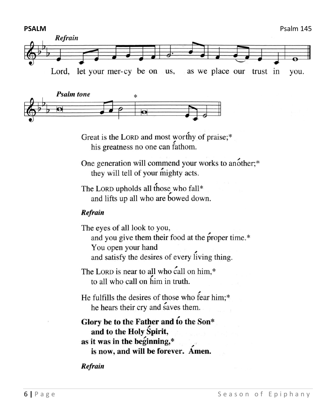



Great is the LORD and most worthy of praise;\* his greatness no one can fathom.

One generation will commend your works to another;\* they will tell of your mighty acts.

The LORD upholds all those who fall\* and lifts up all who are bowed down.

#### Refrain

The eyes of all look to you, and you give them their food at the proper time.\* You open your hand and satisfy the desires of every living thing.

The LORD is near to all who call on him.\* to all who call on him in truth.

He fulfills the desires of those who fear him;\* he hears their cry and saves them.

Glory be to the Father and to the Son\* and to the Holy Spirit, as it was in the beginning,\* is now, and will be forever. Amen.

Refrain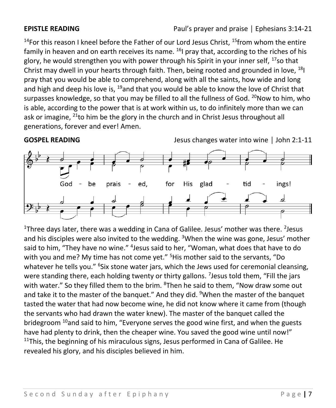<sup>14</sup>For this reason I kneel before the Father of our Lord Jesus Christ,  $15$ from whom the entire family in heaven and on earth receives its name.  $16$  pray that, according to the riches of his glory, he would strengthen you with power through his Spirit in your inner self,  $17$ so that Christ may dwell in your hearts through faith. Then, being rooted and grounded in love, <sup>18</sup>I pray that you would be able to comprehend, along with all the saints, how wide and long and high and deep his love is,  $19$  and that you would be able to know the love of Christ that surpasses knowledge, so that you may be filled to all the fullness of God. <sup>20</sup>Now to him, who is able, according to the power that is at work within us, to do infinitely more than we can ask or imagine,  $^{21}$ to him be the glory in the church and in Christ Jesus throughout all generations, forever and ever! Amen.

**GOSPEL READING** Jesus changes water into wine │ John 2:1-11



<sup>1</sup>Three days later, there was a wedding in Cana of Galilee. Jesus' mother was there. <sup>2</sup>Jesus and his disciples were also invited to the wedding. <sup>3</sup>When the wine was gone, Jesus' mother said to him, "They have no wine." <sup>4</sup>Jesus said to her, "Woman, what does that have to do with you and me? My time has not come yet." <sup>5</sup>His mother said to the servants, "Do whatever he tells you." <sup>6</sup>Six stone water jars, which the Jews used for ceremonial cleansing, were standing there, each holding twenty or thirty gallons. <sup>7</sup>Jesus told them, "Fill the jars with water." So they filled them to the brim. <sup>8</sup>Then he said to them, "Now draw some out and take it to the master of the banquet." And they did. <sup>9</sup>When the master of the banquet tasted the water that had now become wine, he did not know where it came from (though the servants who had drawn the water knew). The master of the banquet called the bridegroom <sup>10</sup>and said to him, "Everyone serves the good wine first, and when the guests have had plenty to drink, then the cheaper wine. You saved the good wine until now!"  $11$ This, the beginning of his miraculous signs, Jesus performed in Cana of Galilee. He revealed his glory, and his disciples believed in him.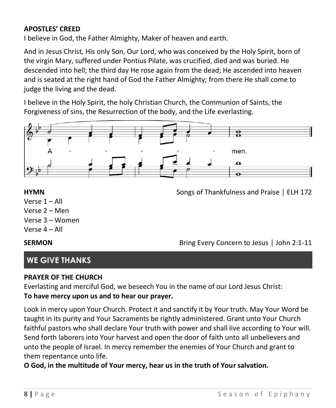#### **APOSTLES' CREED**

I believe in God, the Father Almighty, Maker of heaven and earth.

And in Jesus Christ, His only Son, Our Lord, who was conceived by the Holy Spirit, born of the virgin Mary, suffered under Pontius Pilate, was crucified, died and was buried. He descended into hell; the third day He rose again from the dead; He ascended into heaven and is seated at the right hand of God the Father Almighty; from there He shall come to judge the living and the dead.

I believe in the Holy Spirit, the holy Christian Church, the Communion of Saints, the Forgiveness of sins, the Resurrection of the body, and the Life everlasting.



**HYMN Songs of Thankfulness and Praise** │ ELH 172

- Verse 1 All
- Verse 2 Men
- Verse 3 Women
- Verse 4 All

**SERMON** Bring Every Concern to Jesus | John 2:1-11

### **WE GIVE THANKS**

#### **PRAYER OF THE CHURCH**

Everlasting and merciful God, we beseech You in the name of our Lord Jesus Christ: **To have mercy upon us and to hear our prayer.**

Look in mercy upon Your Church. Protect it and sanctify it by Your truth. May Your Word be taught in its purity and Your Sacraments be rightly administered. Grant unto Your Church faithful pastors who shall declare Your truth with power and shall live according to Your will. Send forth laborers into Your harvest and open the door of faith unto all unbelievers and unto the people of Israel. In mercy remember the enemies of Your Church and grant to them repentance unto life.

**O God, in the multitude of Your mercy, hear us in the truth of Your salvation.**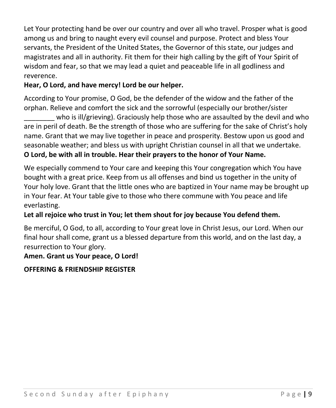Let Your protecting hand be over our country and over all who travel. Prosper what is good among us and bring to naught every evil counsel and purpose. Protect and bless Your servants, the President of the United States, the Governor of this state, our judges and magistrates and all in authority. Fit them for their high calling by the gift of Your Spirit of wisdom and fear, so that we may lead a quiet and peaceable life in all godliness and reverence.

#### **Hear, O Lord, and have mercy! Lord be our helper.**

According to Your promise, O God, be the defender of the widow and the father of the orphan. Relieve and comfort the sick and the sorrowful (especially our brother/sister

who is ill/grieving). Graciously help those who are assaulted by the devil and who are in peril of death. Be the strength of those who are suffering for the sake of Christ's holy name. Grant that we may live together in peace and prosperity. Bestow upon us good and seasonable weather; and bless us with upright Christian counsel in all that we undertake. **O Lord, be with all in trouble. Hear their prayers to the honor of Your Name.**

We especially commend to Your care and keeping this Your congregation which You have bought with a great price. Keep from us all offenses and bind us together in the unity of Your holy love. Grant that the little ones who are baptized in Your name may be brought up in Your fear. At Your table give to those who there commune with You peace and life everlasting.

#### **Let all rejoice who trust in You; let them shout for joy because You defend them.**

Be merciful, O God, to all, according to Your great love in Christ Jesus, our Lord. When our final hour shall come, grant us a blessed departure from this world, and on the last day, a resurrection to Your glory.

#### **Amen. Grant us Your peace, O Lord!**

#### **OFFERING & FRIENDSHIP REGISTER**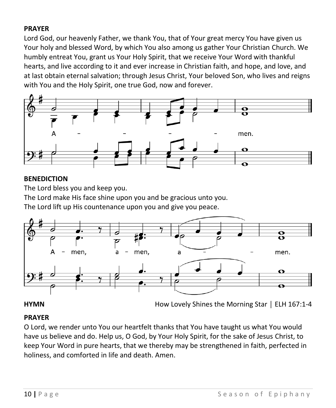#### **PRAYER**

Lord God, our heavenly Father, we thank You, that of Your great mercy You have given us Your holy and blessed Word, by which You also among us gather Your Christian Church. We humbly entreat You, grant us Your Holy Spirit, that we receive Your Word with thankful hearts, and live according to it and ever increase in Christian faith, and hope, and love, and at last obtain eternal salvation; through Jesus Christ, Your beloved Son, who lives and reigns with You and the Holy Spirit, one true God, now and forever.



#### **BENEDICTION**

The Lord bless you and keep you.

The Lord make His face shine upon you and be gracious unto you.

The Lord lift up His countenance upon you and give you peace.



**HYMN How Lovely Shines the Morning Star** | ELH 167:1-4

#### **PRAYER**

O Lord, we render unto You our heartfelt thanks that You have taught us what You would have us believe and do. Help us, O God, by Your Holy Spirit, for the sake of Jesus Christ, to keep Your Word in pure hearts, that we thereby may be strengthened in faith, perfected in holiness, and comforted in life and death. Amen.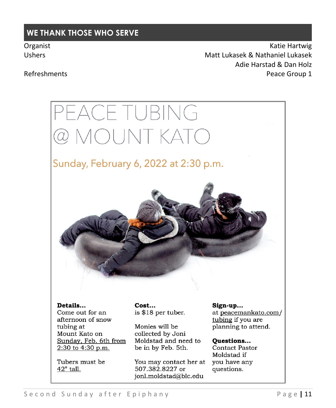#### **WE THANK THOSE WHO SERVE**

Organist **Katie Hartwig** Constantine Material Active Hartwig Active Hartwig Active Hartwig Active Hartwig Active Hartwig Active Hartwig Active Hartwig Active Hartwig Active Hartwig Active Hartwig Active Hartwig Active Hart Ushers Matt Lukasek & Nathaniel Lukasek Adie Harstad & Dan Holz Refreshments **Peace Group 1** 

## PEACE TUBING @ MOUNT KATO

### Sunday, February 6, 2022 at 2:30 p.m.



Details...

Come out for an afternoon of snow tubing at Mount Kato on Sunday, Feb. 6th from 2:30 to 4:30 p.m.

Tubers must be  $42$ " tall.

Cost... is \$18 per tuber.

Monies will be collected by Joni Moldstad and need to be in by Feb. 5th.

You may contact her at 507.382.8227 or jonl.moldstad@blc.edu

Sign-up...

at peacemankato.com/ tubing if you are planning to attend.

Ouestions... **Contact Pastor** Moldstad if you have any questions.